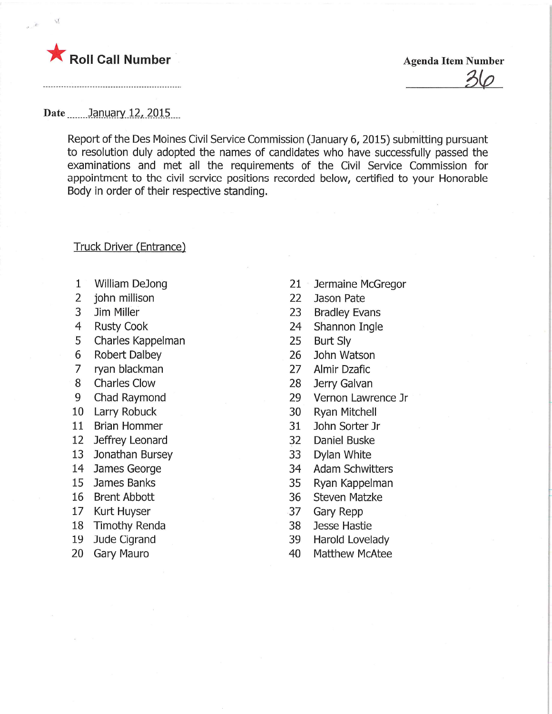

 $\leq$ 

 $3\varphi$ 

Report of the Des Moines Civil Service Commission (January 6, 2015) submitting pursuant to resolution duly adopted the names of candidates who have successfully passed the examinations and met all the requirements of the Civil Service Commission for appointment to the civil service positions recorded below, certified to your Honorable Body in order of their respective standing.

## Truck Driver (Entrance)

- 1 William DeJong
- 2 john millison
- 3 Jim Miller
- 4 Rusty Cook
- 5 Charles Kappelman
- 6 Robert Dalbey
- 7 ryan blackman
- 8 Charles Glow
- 9 Chad Raymond
- 10 Larry Robuck
- 11 Brian Hammer
- 12 Jeffrey Leonard
- 13 Jonathan Bursey
- 14 James George
- 15 James Banks
- 16 Brent Abbott
- 17 Kurt Huyser
- 18 Timothy Renda
- 19 Jude Cigrand
- 20 Gary Mauro
- $21 -$ Jermaine McGregor
- 22 Jason Pate
- 23 Bradley Evans
- 24 Shannon Ingle
- 25 Burt Sly
- 26 John Watson
- 27 Almir Dzafic
- 28 Jerry Galvan
- 29 Vernon Lawrence Jr
- 30 Ryan Mitchell
- 31 John Sorter Jr
- 32 Daniel Buske
- 33 Dylan White
- 34 Adam Schwitters
- 35 Ryan Kappelman
- 36 Steven Matzke
- 37 Gary Repp
- 38 Jesse Hastie
- 39 Harold Lovelady
- 40 Matthew McAtee